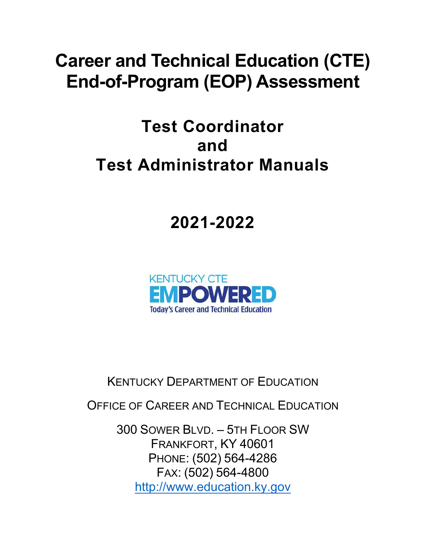# **Career and Technical Education (CTE) End-of-Program (EOP) Assessment**

# **Test Coordinator and Test Administrator Manuals**

# **2021-2022**



KENTUCKY DEPARTMENT OF EDUCATION

OFFICE OF CAREER AND TECHNICAL EDUCATION

300 SOWER BLVD. – 5TH FLOOR SW FRANKFORT, KY 40601 PHONE: (502) 564-4286 FAX: (502) 564-4800 [http://www.education.ky.gov](http://www.education.ky.gov/)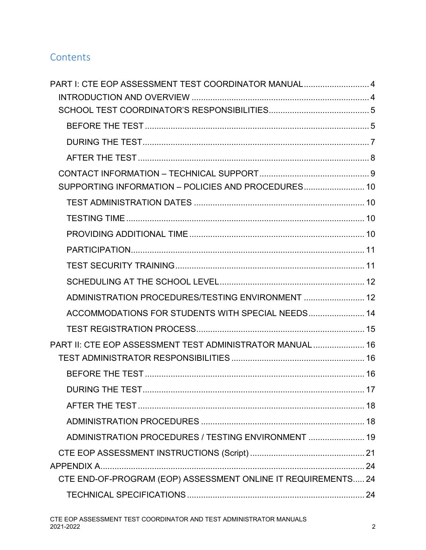# **Contents**

| PART I: CTE EOP ASSESSMENT TEST COORDINATOR MANUAL 4          |  |
|---------------------------------------------------------------|--|
|                                                               |  |
|                                                               |  |
|                                                               |  |
|                                                               |  |
|                                                               |  |
|                                                               |  |
| SUPPORTING INFORMATION - POLICIES AND PROCEDURES 10           |  |
|                                                               |  |
|                                                               |  |
|                                                               |  |
|                                                               |  |
|                                                               |  |
|                                                               |  |
| ADMINISTRATION PROCEDURES/TESTING ENVIRONMENT  12             |  |
| ACCOMMODATIONS FOR STUDENTS WITH SPECIAL NEEDS 14             |  |
|                                                               |  |
| PART II: CTE EOP ASSESSMENT TEST ADMINISTRATOR MANUAL 16      |  |
|                                                               |  |
|                                                               |  |
| <b>DURING THE TEST.</b>                                       |  |
|                                                               |  |
|                                                               |  |
| ADMINISTRATION PROCEDURES / TESTING ENVIRONMENT  19           |  |
|                                                               |  |
|                                                               |  |
| CTE END-OF-PROGRAM (EOP) ASSESSMENT ONLINE IT REQUIREMENTS 24 |  |
|                                                               |  |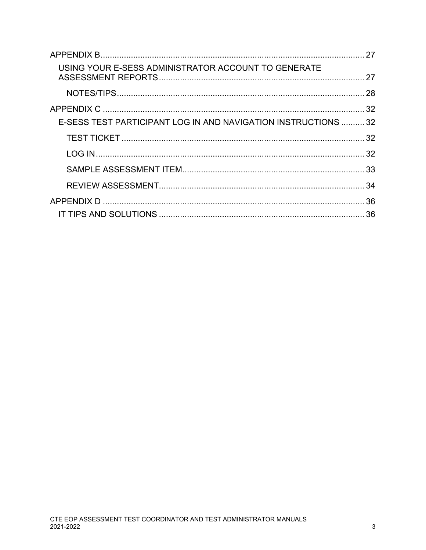| USING YOUR E-SESS ADMINISTRATOR ACCOUNT TO GENERATE            |  |
|----------------------------------------------------------------|--|
|                                                                |  |
|                                                                |  |
| E-SESS TEST PARTICIPANT LOG IN AND NAVIGATION INSTRUCTIONS  32 |  |
|                                                                |  |
|                                                                |  |
|                                                                |  |
|                                                                |  |
|                                                                |  |
|                                                                |  |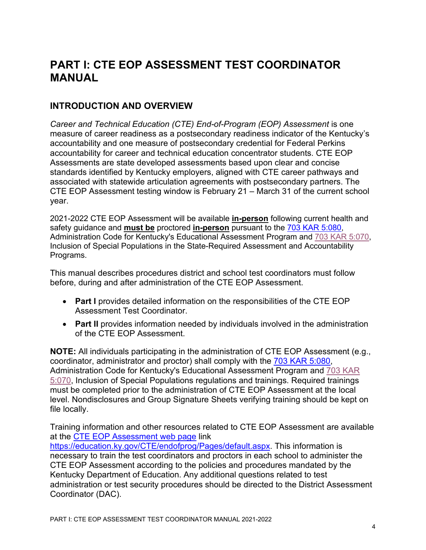# <span id="page-3-0"></span>**PART I: CTE EOP ASSESSMENT TEST COORDINATOR MANUAL**

# <span id="page-3-1"></span>**INTRODUCTION AND OVERVIEW**

*Career and Technical Education (CTE) End-of-Program (EOP) Assessment* is one measure of career readiness as a postsecondary readiness indicator of the Kentucky's accountability and one measure of postsecondary credential for Federal Perkins accountability for career and technical education concentrator students. CTE EOP Assessments are state developed assessments based upon clear and concise standards identified by Kentucky employers, aligned with CTE career pathways and associated with statewide articulation agreements with postsecondary partners. The CTE EOP Assessment testing window is February 21 – March 31 of the current school year.

2021-2022 CTE EOP Assessment will be available **in-person** following current health and safety guidance and **must be** proctored **in-person** pursuant to the [703 KAR 5:080,](https://education.ky.gov/AA/distsupp/Documents/703%20KAR%205080%20Final.pdf) Administration Code for Kentucky's Educational Assessment Program and [703 KAR 5:070,](https://www.education.ky.gov/AA/distsupp/Documents/703_KAR_5070_DOC_INC_REF_OAA_April_2021.pdf) Inclusion of Special Populations in the State-Required Assessment and Accountability Programs.

This manual describes procedures district and school test coordinators must follow before, during and after administration of the CTE EOP Assessment.

- **Part I** provides detailed information on the responsibilities of the CTE EOP Assessment Test Coordinator.
- **Part II** provides information needed by individuals involved in the administration of the CTE EOP Assessment.

**NOTE:** All individuals participating in the administration of CTE EOP Assessment (e.g., coordinator, administrator and proctor) shall comply with the [703 KAR 5:080,](https://education.ky.gov/AA/distsupp/Documents/703%20KAR%205080%20Final.pdf) Administration Code for Kentucky's Educational Assessment Program and [703 KAR](https://www.education.ky.gov/AA/distsupp/Documents/703_KAR_5070_DOC_INC_REF_OAA_April_2021.pdf)  [5:070,](https://www.education.ky.gov/AA/distsupp/Documents/703_KAR_5070_DOC_INC_REF_OAA_April_2021.pdf) Inclusion of Special Populations regulations and trainings. Required trainings must be completed prior to the administration of CTE EOP Assessment at the local level. Nondisclosures and Group Signature Sheets verifying training should be kept on file locally.

Training information and other resources related to CTE EOP Assessment are available at the [CTE EOP Assessment web page](https://education.ky.gov/CTE/endofprog/Pages/default.aspx) link

[https://education.ky.gov/CTE/endofprog/Pages/default.aspx.](https://education.ky.gov/CTE/endofprog/Pages/default.aspx) This information is necessary to train the test coordinators and proctors in each school to administer the CTE EOP Assessment according to the policies and procedures mandated by the Kentucky Department of Education. Any additional questions related to test administration or test security procedures should be directed to the District Assessment Coordinator (DAC).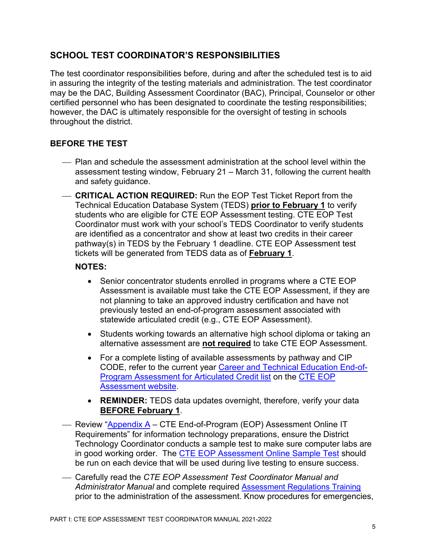# <span id="page-4-0"></span>**SCHOOL TEST COORDINATOR'S RESPONSIBILITIES**

The test coordinator responsibilities before, during and after the scheduled test is to aid in assuring the integrity of the testing materials and administration. The test coordinator may be the DAC, Building Assessment Coordinator (BAC), Principal, Counselor or other certified personnel who has been designated to coordinate the testing responsibilities; however, the DAC is ultimately responsible for the oversight of testing in schools throughout the district.

#### <span id="page-4-1"></span>**BEFORE THE TEST**

- Plan and schedule the assessment administration at the school level within the assessment testing window, February 21 – March 31, following the current health and safety guidance.
- **CRITICAL ACTION REQUIRED:** Run the EOP Test Ticket Report from the Technical Education Database System (TEDS) **prior to February 1** to verify students who are eligible for CTE EOP Assessment testing. CTE EOP Test Coordinator must work with your school's TEDS Coordinator to verify students are identified as a concentrator and show at least two credits in their career pathway(s) in TEDS by the February 1 deadline. CTE EOP Assessment test tickets will be generated from TEDS data as of **February 1**.

#### **NOTES:**

- Senior concentrator students enrolled in programs where a CTE EOP Assessment is available must take the CTE EOP Assessment, if they are not planning to take an approved industry certification and have not previously tested an end-of-program assessment associated with statewide articulated credit (e.g., CTE EOP Assessment).
- Students working towards an alternative high school diploma or taking an alternative assessment are **not required** to take CTE EOP Assessment*.*
- For a complete listing of available assessments by pathway and CIP CODE, refer to the current year [Career and Technical Education End-of-](https://education.ky.gov/CTE/endofprog/Documents/Valid_EOP.pdf)[Program Assessment for Articulated Credit list](https://education.ky.gov/CTE/endofprog/Documents/Valid_EOP.pdf) on the [CTE EOP](https://education.ky.gov/CTE/endofprog/Pages/default.aspx)  [Assessment website.](https://education.ky.gov/CTE/endofprog/Pages/default.aspx)
- **REMINDER:** TEDS data updates overnight, therefore, verify your data **BEFORE February 1**.
- Review ["Appendix A](#page-23-1) CTE End-of-Program (EOP) Assessment Online IT Requirements" for information technology preparations, ensure the District Technology Coordinator conducts a sample test to make sure computer labs are in good working order. The [CTE EOP Assessment](https://techfluency.org/esess/) Online Sample Test should be run on each device that will be used during live testing to ensure success.
- Carefully read the *CTE EOP Assessment Test Coordinator Manual and Administrator Manual* and complete required [Assessment Regulations Training](https://education.ky.gov/aa/distsupp/pages/admincode.aspx) prior to the administration of the assessment. Know procedures for emergencies,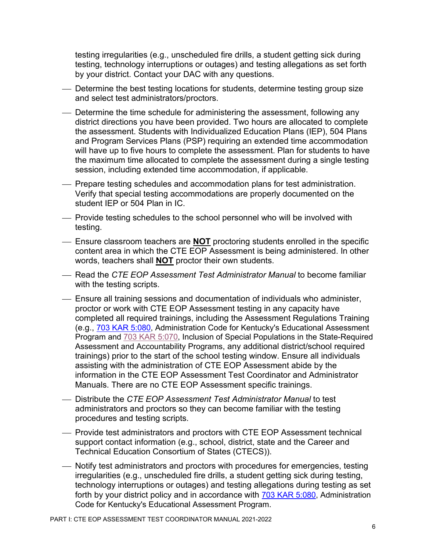testing irregularities (e.g., unscheduled fire drills, a student getting sick during testing, technology interruptions or outages) and testing allegations as set forth by your district. Contact your DAC with any questions.

- Determine the best testing locations for students, determine testing group size and select test administrators/proctors.
- Determine the time schedule for administering the assessment, following any district directions you have been provided. Two hours are allocated to complete the assessment. Students with Individualized Education Plans (IEP), 504 Plans and Program Services Plans (PSP) requiring an extended time accommodation will have up to five hours to complete the assessment. Plan for students to have the maximum time allocated to complete the assessment during a single testing session, including extended time accommodation, if applicable.
- Prepare testing schedules and accommodation plans for test administration. Verify that special testing accommodations are properly documented on the student IEP or 504 Plan in IC.
- Provide testing schedules to the school personnel who will be involved with testing.
- Ensure classroom teachers are **NOT** proctoring students enrolled in the specific content area in which the CTE EOP Assessment is being administered. In other words, teachers shall **NOT** proctor their own students.
- Read the *CTE EOP Assessment Test Administrator Manual* to become familiar with the testing scripts.
- Ensure all training sessions and documentation of individuals who administer, proctor or work with CTE EOP Assessment testing in any capacity have completed all required trainings, including the Assessment Regulations Training (e.g., [703 KAR 5:080,](https://education.ky.gov/AA/distsupp/Documents/703%20KAR%205080%20Final.pdf) Administration Code for Kentucky's Educational Assessment Program and [703 KAR 5:070,](https://www.education.ky.gov/AA/distsupp/Documents/703_KAR_5070_DOC_INC_REF_OAA_April_2021.pdf) Inclusion of Special Populations in the State-Required Assessment and Accountability Programs, any additional district/school required trainings) prior to the start of the school testing window. Ensure all individuals assisting with the administration of CTE EOP Assessment abide by the information in the CTE EOP Assessment Test Coordinator and Administrator Manuals. There are no CTE EOP Assessment specific trainings.
- Distribute the *CTE EOP Assessment Test Administrator Manual* to test administrators and proctors so they can become familiar with the testing procedures and testing scripts.
- Provide test administrators and proctors with CTE EOP Assessment technical support contact information (e.g., school, district, state and the Career and Technical Education Consortium of States (CTECS)).
- Notify test administrators and proctors with procedures for emergencies, testing irregularities (e.g., unscheduled fire drills, a student getting sick during testing, technology interruptions or outages) and testing allegations during testing as set forth by your district policy and in accordance with [703 KAR 5:080,](https://education.ky.gov/AA/distsupp/Documents/703%20KAR%205080%20Final.pdf) Administration Code for Kentucky's Educational Assessment Program.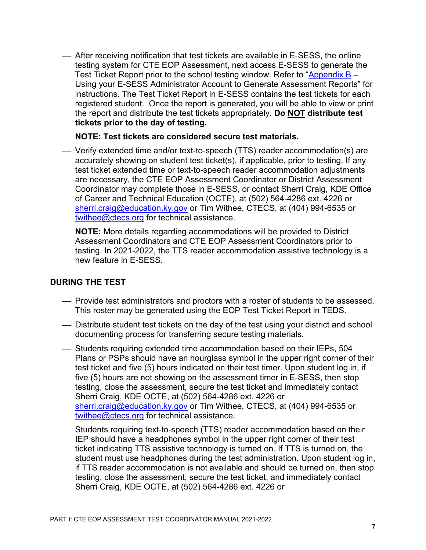After receiving notification that test tickets are available in E‐SESS, the online testing system for CTE EOP Assessment, next access E-SESS to generate the Test Ticket Report prior to the school testing window. Refer to "Appendix  $B -$ Using your E-SESS Administrator Account to Generate Assessment Reports" for instructions. The Test Ticket Report in E-SESS contains the test tickets for each registered student. Once the report is generated, you will be able to view or print the report and distribute the test tickets appropriately. **Do NOT distribute test tickets prior to the day of testing.**

#### **NOTE: Test tickets are considered secure test materials.**

 Verify extended time and/or text-to-speech (TTS) reader accommodation(s) are accurately showing on student test ticket(s), if applicable, prior to testing. If any test ticket extended time or text-to-speech reader accommodation adjustments are necessary, the CTE EOP Assessment Coordinator or District Assessment Coordinator may complete those in E-SESS, or contact Sherri Craig, KDE Office of Career and Technical Education (OCTE), at (502) 564-4286 ext. 4226 or [sherri.craig@education.ky.gov](mailto:sherri.craig@education.ky.gov) or Tim Withee, CTECS, at (404) 994-6535 or [twithee@ctecs.org](mailto:twithee@ctecs.org) for technical assistance.

**NOTE:** More details regarding accommodations will be provided to District Assessment Coordinators and CTE EOP Assessment Coordinators prior to testing. In 2021-2022, the TTS reader accommodation assistive technology is a new feature in E-SESS.

#### <span id="page-6-0"></span>**DURING THE TEST**

- Provide test administrators and proctors with a roster of students to be assessed. This roster may be generated using the EOP Test Ticket Report in TEDS.
- Distribute student test tickets on the day of the test using your district and school documenting process for transferring secure testing materials.
- Students requiring extended time accommodation based on their IEPs, 504 Plans or PSPs should have an hourglass symbol in the upper right corner of their test ticket and five (5) hours indicated on their test timer. Upon student log in, if five (5) hours are not showing on the assessment timer in E-SESS, then stop testing, close the assessment, secure the test ticket and immediately contact Sherri Craig, KDE OCTE, at (502) 564-4286 ext. 4226 or [sherri.craig@education.ky.gov](mailto:sherri.craig@education.ky.gov) or Tim Withee, CTECS, at (404) 994-6535 or [twithee@ctecs.org](mailto:twithee@ctecs.org) for technical assistance.

Students requiring text-to-speech (TTS) reader accommodation based on their IEP should have a headphones symbol in the upper right corner of their test ticket indicating TTS assistive technology is turned on. If TTS is turned on, the student must use headphones during the test administration. Upon student log in, if TTS reader accommodation is not available and should be turned on, then stop testing, close the assessment, secure the test ticket, and immediately contact Sherri Craig, KDE OCTE, at (502) 564-4286 ext. 4226 or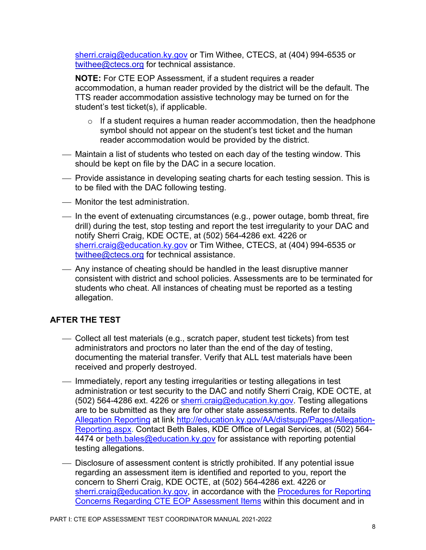[sherri.craig@education.ky.gov](mailto:sherri.craig@education.ky.gov) or Tim Withee, CTECS, at (404) 994-6535 or [twithee@ctecs.org](mailto:twithee@ctecs.org) for technical assistance.

**NOTE:** For CTE EOP Assessment, if a student requires a reader accommodation, a human reader provided by the district will be the default. The TTS reader accommodation assistive technology may be turned on for the student's test ticket(s), if applicable.

- $\circ$  If a student requires a human reader accommodation, then the headphone symbol should not appear on the student's test ticket and the human reader accommodation would be provided by the district.
- Maintain a list of students who tested on each day of the testing window. This should be kept on file by the DAC in a secure location.
- Provide assistance in developing seating charts for each testing session. This is to be filed with the DAC following testing.
- Monitor the test administration.
- In the event of extenuating circumstances (e.g., power outage, bomb threat, fire drill) during the test, stop testing and report the test irregularity to your DAC and notify Sherri Craig, KDE OCTE, at (502) 564-4286 ext. 4226 or [sherri.craig@education.ky.gov](mailto:sherri.craig@education.ky.gov) or Tim Withee, CTECS, at (404) 994-6535 or [twithee@ctecs.org](mailto:twithee@ctecs.org) for technical assistance.
- Any instance of cheating should be handled in the least disruptive manner consistent with district and school policies. Assessments are to be terminated for students who cheat. All instances of cheating must be reported as a testing allegation.

# <span id="page-7-0"></span>**AFTER THE TEST**

- Collect all test materials (e.g., scratch paper, student test tickets) from test administrators and proctors no later than the end of the day of testing, documenting the material transfer. Verify that ALL test materials have been received and properly destroyed.
- Immediately, report any testing irregularities or testing allegations in test administration or test security to the DAC and notify Sherri Craig, KDE OCTE, at (502) 564-4286 ext. 4226 or [sherri.craig@education.ky.gov.](mailto:sherri.craig@education.ky.gov) Testing allegations are to be submitted as they are for other state assessments. Refer to details [Allegation Reporting](https://education.ky.gov/AA/distsupp/Pages/Allegation-Reporting.aspx) at link [http://education.ky.gov/AA/distsupp/Pages/Allegation-](http://education.ky.gov/AA/distsupp/Pages/Allegation-Reporting.aspx)[Reporting.aspx.](http://education.ky.gov/AA/distsupp/Pages/Allegation-Reporting.aspx) Contact Beth Bales, KDE Office of Legal Services, at (502) 564 4474 or [beth.bales@education.ky.gov](mailto:beth.bales@education.ky.gov) for assistance with reporting potential testing allegations.
- Disclosure of assessment content is strictly prohibited. If any potential issue regarding an assessment item is identified and reported to you, report the concern to Sherri Craig, KDE OCTE, at (502) 564-4286 ext. 4226 or [sherri.craig@education.ky.gov,](mailto:sherri.craig@education.ky.gov) in accordance with the Procedures for Reporting [Concerns Regarding CTE EOP Assessment](#page-10-2) Items within this document and in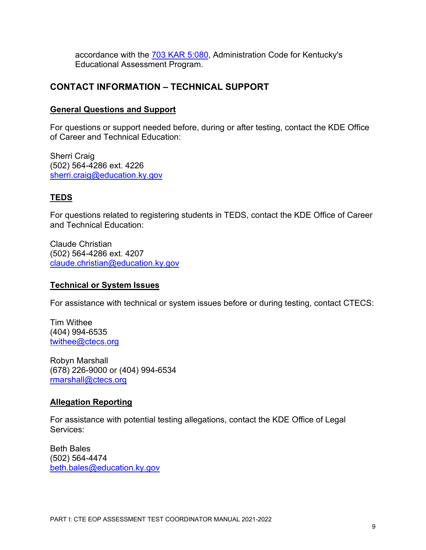accordance with the [703 KAR 5:080,](https://education.ky.gov/AA/distsupp/Documents/703%20KAR%205080%20Final.pdf) Administration Code for Kentucky's Educational Assessment Program.

# <span id="page-8-0"></span>**CONTACT INFORMATION – TECHNICAL SUPPORT**

#### **General Questions and Support**

For questions or support needed before, during or after testing, contact the KDE Office of Career and Technical Education:

Sherri Craig (502) 564-4286 ext. 4226 [sherri.craig@education.ky.gov](mailto:sherri.craig@education.ky.gov)

#### **TEDS**

For questions related to registering students in TEDS, contact the KDE Office of Career and Technical Education:

Claude Christian (502) 564-4286 ext. 4207 [claude.christian@education.ky.gov](mailto:claude.christian@education.ky.gov)

#### **Technical or System Issues**

For assistance with technical or system issues before or during testing, contact CTECS:

Tim Withee (404) 994-6535 [twithee@ctecs.org](mailto:twithee@ctecs.org)

Robyn Marshall (678) 226-9000 or (404) 994-6534 [rmarshall@ctecs.org](mailto:rmarshall@ctecs.org)

#### **Allegation Reporting**

For assistance with potential testing allegations, contact the KDE Office of Legal Services:

Beth Bales (502) 564-4474 [beth.bales@education.ky.gov](mailto:beth.bales@education.ky.gov)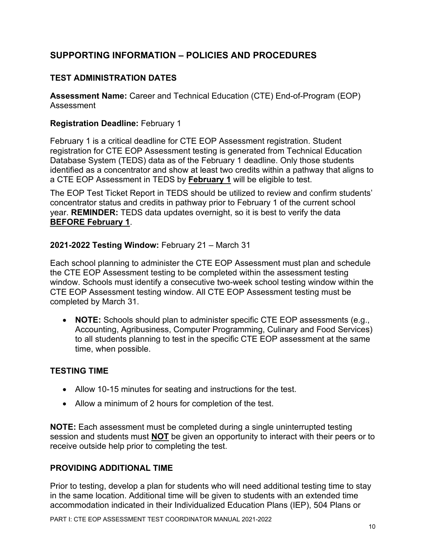# <span id="page-9-0"></span>**SUPPORTING INFORMATION – POLICIES AND PROCEDURES**

# <span id="page-9-1"></span>**TEST ADMINISTRATION DATES**

**Assessment Name:** Career and Technical Education (CTE) End-of-Program (EOP) Assessment

#### **Registration Deadline:** February 1

February 1 is a critical deadline for CTE EOP Assessment registration. Student registration for CTE EOP Assessment testing is generated from Technical Education Database System (TEDS) data as of the February 1 deadline. Only those students identified as a concentrator and show at least two credits within a pathway that aligns to a CTE EOP Assessment in TEDS by **February 1** will be eligible to test.

The EOP Test Ticket Report in TEDS should be utilized to review and confirm students' concentrator status and credits in pathway prior to February 1 of the current school year. **REMINDER:** TEDS data updates overnight, so it is best to verify the data **BEFORE February 1**.

#### **2021-2022 Testing Window:** February 21 – March 31

Each school planning to administer the CTE EOP Assessment must plan and schedule the CTE EOP Assessment testing to be completed within the assessment testing window. Schools must identify a consecutive two-week school testing window within the CTE EOP Assessment testing window. All CTE EOP Assessment testing must be completed by March 31.

• **NOTE:** Schools should plan to administer specific CTE EOP assessments (e.g., Accounting, Agribusiness, Computer Programming, Culinary and Food Services) to all students planning to test in the specific CTE EOP assessment at the same time, when possible.

# <span id="page-9-2"></span>**TESTING TIME**

- Allow 10-15 minutes for seating and instructions for the test.
- Allow a minimum of 2 hours for completion of the test.

**NOTE:** Each assessment must be completed during a single uninterrupted testing session and students must **NOT** be given an opportunity to interact with their peers or to receive outside help prior to completing the test.

# <span id="page-9-3"></span>**PROVIDING ADDITIONAL TIME**

Prior to testing, develop a plan for students who will need additional testing time to stay in the same location. Additional time will be given to students with an extended time accommodation indicated in their Individualized Education Plans (IEP), 504 Plans or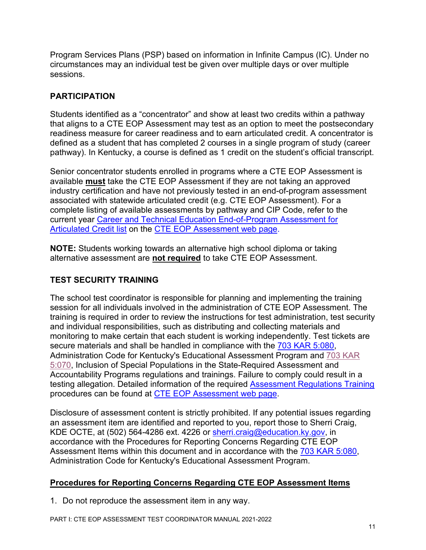Program Services Plans (PSP) based on information in Infinite Campus (IC). Under no circumstances may an individual test be given over multiple days or over multiple sessions.

# <span id="page-10-0"></span>**PARTICIPATION**

Students identified as a "concentrator" and show at least two credits within a pathway that aligns to a CTE EOP Assessment may test as an option to meet the postsecondary readiness measure for career readiness and to earn articulated credit. A concentrator is defined as a student that has completed 2 courses in a single program of study (career pathway). In Kentucky, a course is defined as 1 credit on the student's official transcript.

Senior concentrator students enrolled in programs where a CTE EOP Assessment is available **must** take the CTE EOP Assessment if they are not taking an approved industry certification and have not previously tested in an end-of-program assessment associated with statewide articulated credit (e.g. CTE EOP Assessment). For a complete listing of available assessments by pathway and CIP Code, refer to the current year [Career and Technical Education End-of-Program Assessment for](https://education.ky.gov/CTE/endofprog/Documents/Valid_EOP.pdf)  [Articulated Credit list](https://education.ky.gov/CTE/endofprog/Documents/Valid_EOP.pdf) on the [CTE EOP Assessment web page.](https://education.ky.gov/CTE/endofprog/Pages/default.aspx)

**NOTE:** Students working towards an alternative high school diploma or taking alternative assessment are **not required** to take CTE EOP Assessment.

# <span id="page-10-1"></span>**TEST SECURITY TRAINING**

The school test coordinator is responsible for planning and implementing the training session for all individuals involved in the administration of CTE EOP Assessment. The training is required in order to review the instructions for test administration, test security and individual responsibilities, such as distributing and collecting materials and monitoring to make certain that each student is working independently. Test tickets are secure materials and shall be handled in compliance with the [703 KAR 5:080,](https://education.ky.gov/AA/distsupp/Documents/703%20KAR%205080%20Final.pdf) Administration Code for Kentucky's Educational Assessment Program and [703 KAR](https://www.education.ky.gov/AA/distsupp/Documents/703_KAR_5070_DOC_INC_REF_OAA_April_2021.pdf) [5:070,](https://www.education.ky.gov/AA/distsupp/Documents/703_KAR_5070_DOC_INC_REF_OAA_April_2021.pdf) Inclusion of Special Populations in the State-Required Assessment and Accountability Programs regulations and trainings. Failure to comply could result in a testing allegation. Detailed information of the required [Assessment Regulations Training](https://education.ky.gov/aa/distsupp/pages/admincode.aspx) procedures can be found at [CTE EOP Assessment web page.](https://education.ky.gov/CTE/endofprog/Pages/default.aspx)

Disclosure of assessment content is strictly prohibited. If any potential issues regarding an assessment item are identified and reported to you, report those to Sherri Craig, KDE OCTE, at (502) 564-4286 ext. 4226 or [sherri.craig@education.ky.gov,](mailto:sherri.craig@education.ky.gov) in accordance with the Procedures for Reporting Concerns Regarding CTE EOP Assessment Items within this document and in accordance with the [703 KAR 5:080,](https://education.ky.gov/AA/distsupp/Documents/703%20KAR%205080%20Final.pdf) Administration Code for Kentucky's Educational Assessment Program.

# <span id="page-10-2"></span>**Procedures for Reporting Concerns Regarding CTE EOP Assessment Items**

1. Do not reproduce the assessment item in any way.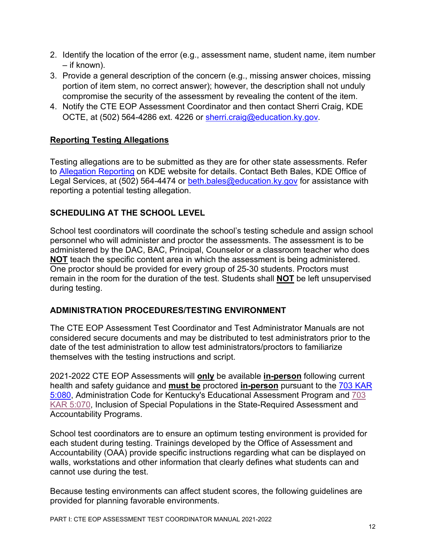- 2. Identify the location of the error (e.g., assessment name, student name, item number – if known).
- 3. Provide a general description of the concern (e.g., missing answer choices, missing portion of item stem, no correct answer); however, the description shall not unduly compromise the security of the assessment by revealing the content of the item.
- 4. Notify the CTE EOP Assessment Coordinator and then contact Sherri Craig, KDE OCTE, at (502) 564-4286 ext. 4226 or [sherri.craig@education.ky.gov.](mailto:sherri.craig@education.ky.gov)

# **Reporting Testing Allegations**

Testing allegations are to be submitted as they are for other state assessments. Refer to [Allegation Reporting](https://education.ky.gov/AA/distsupp/Pages/Allegation-Reporting.aspx) on KDE website for details. Contact Beth Bales, KDE Office of Legal Services, at (502) 564-4474 or [beth.bales@education.ky.gov](mailto:beth.bales@education.ky.gov) for assistance with reporting a potential testing allegation.

# <span id="page-11-0"></span>**SCHEDULING AT THE SCHOOL LEVEL**

School test coordinators will coordinate the school's testing schedule and assign school personnel who will administer and proctor the assessments. The assessment is to be administered by the DAC, BAC, Principal, Counselor or a classroom teacher who does **NOT** teach the specific content area in which the assessment is being administered. One proctor should be provided for every group of 25-30 students. Proctors must remain in the room for the duration of the test. Students shall **NOT** be left unsupervised during testing.

# <span id="page-11-1"></span>**ADMINISTRATION PROCEDURES/TESTING ENVIRONMENT**

The CTE EOP Assessment Test Coordinator and Test Administrator Manuals are not considered secure documents and may be distributed to test administrators prior to the date of the test administration to allow test administrators/proctors to familiarize themselves with the testing instructions and script.

2021-2022 CTE EOP Assessments will **only** be available **in-person** following current health and safety guidance and **must be** proctored **in-person** pursuant to the [703 KAR](https://education.ky.gov/AA/distsupp/Documents/703%20KAR%205080%20Final.pdf)  [5:080,](https://education.ky.gov/AA/distsupp/Documents/703%20KAR%205080%20Final.pdf) Administration Code for Kentucky's Educational Assessment Program and [703](https://www.education.ky.gov/AA/distsupp/Documents/703_KAR_5070_DOC_INC_REF_OAA_April_2021.pdf)  [KAR 5:070,](https://www.education.ky.gov/AA/distsupp/Documents/703_KAR_5070_DOC_INC_REF_OAA_April_2021.pdf) Inclusion of Special Populations in the State-Required Assessment and Accountability Programs.

School test coordinators are to ensure an optimum testing environment is provided for each student during testing. Trainings developed by the Office of Assessment and Accountability (OAA) provide specific instructions regarding what can be displayed on walls, workstations and other information that clearly defines what students can and cannot use during the test.

Because testing environments can affect student scores, the following guidelines are provided for planning favorable environments.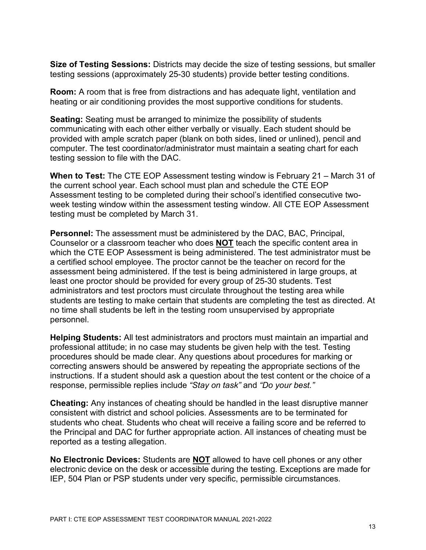**Size of Testing Sessions:** Districts may decide the size of testing sessions, but smaller testing sessions (approximately 25-30 students) provide better testing conditions.

**Room:** A room that is free from distractions and has adequate light, ventilation and heating or air conditioning provides the most supportive conditions for students.

**Seating:** Seating must be arranged to minimize the possibility of students communicating with each other either verbally or visually. Each student should be provided with ample scratch paper (blank on both sides, lined or unlined), pencil and computer. The test coordinator/administrator must maintain a seating chart for each testing session to file with the DAC.

**When to Test:** The CTE EOP Assessment testing window is February 21 – March 31 of the current school year. Each school must plan and schedule the CTE EOP Assessment testing to be completed during their school's identified consecutive twoweek testing window within the assessment testing window. All CTE EOP Assessment testing must be completed by March 31.

**Personnel:** The assessment must be administered by the DAC, BAC, Principal, Counselor or a classroom teacher who does **NOT** teach the specific content area in which the CTE EOP Assessment is being administered. The test administrator must be a certified school employee. The proctor cannot be the teacher on record for the assessment being administered. If the test is being administered in large groups, at least one proctor should be provided for every group of 25-30 students. Test administrators and test proctors must circulate throughout the testing area while students are testing to make certain that students are completing the test as directed. At no time shall students be left in the testing room unsupervised by appropriate personnel.

**Helping Students:** All test administrators and proctors must maintain an impartial and professional attitude; in no case may students be given help with the test. Testing procedures should be made clear. Any questions about procedures for marking or correcting answers should be answered by repeating the appropriate sections of the instructions. If a student should ask a question about the test content or the choice of a response, permissible replies include *"Stay on task"* and *"Do your best."*

**Cheating:** Any instances of cheating should be handled in the least disruptive manner consistent with district and school policies. Assessments are to be terminated for students who cheat. Students who cheat will receive a failing score and be referred to the Principal and DAC for further appropriate action. All instances of cheating must be reported as a testing allegation.

**No Electronic Devices:** Students are **NOT** allowed to have cell phones or any other electronic device on the desk or accessible during the testing. Exceptions are made for IEP, 504 Plan or PSP students under very specific, permissible circumstances.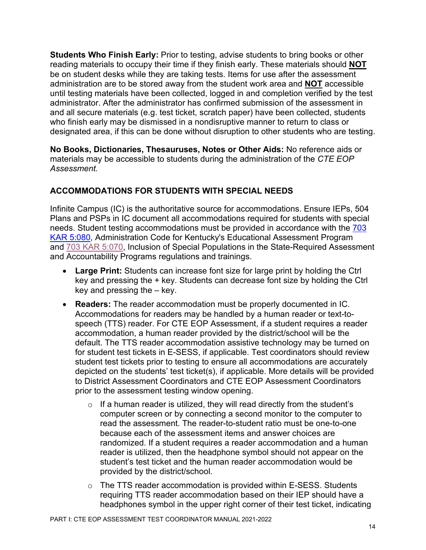**Students Who Finish Early:** Prior to testing, advise students to bring books or other reading materials to occupy their time if they finish early. These materials should **NOT** be on student desks while they are taking tests. Items for use after the assessment administration are to be stored away from the student work area and **NOT** accessible until testing materials have been collected, logged in and completion verified by the test administrator. After the administrator has confirmed submission of the assessment in and all secure materials (e.g. test ticket, scratch paper) have been collected, students who finish early may be dismissed in a nondisruptive manner to return to class or designated area, if this can be done without disruption to other students who are testing.

**No Books, Dictionaries, Thesauruses, Notes or Other Aids:** No reference aids or materials may be accessible to students during the administration of the *CTE EOP Assessment.*

# <span id="page-13-0"></span>**ACCOMMODATIONS FOR STUDENTS WITH SPECIAL NEEDS**

Infinite Campus (IC) is the authoritative source for accommodations. Ensure IEPs, 504 Plans and PSPs in IC document all accommodations required for students with special needs. Student testing accommodations must be provided in accordance with the [703](https://education.ky.gov/AA/distsupp/Documents/703%20KAR%205080%20Final.pdf)  [KAR 5:080,](https://education.ky.gov/AA/distsupp/Documents/703%20KAR%205080%20Final.pdf) Administration Code for Kentucky's Educational Assessment Program and [703 KAR 5:070,](https://www.education.ky.gov/AA/distsupp/Documents/703_KAR_5070_DOC_INC_REF_OAA_April_2021.pdf) Inclusion of Special Populations in the State-Required Assessment and Accountability Programs regulations and trainings.

- **Large Print:** Students can increase font size for large print by holding the Ctrl key and pressing the + key. Students can decrease font size by holding the Ctrl key and pressing the – key.
- **Readers:** The reader accommodation must be properly documented in IC. Accommodations for readers may be handled by a human reader or text-tospeech (TTS) reader. For CTE EOP Assessment, if a student requires a reader accommodation, a human reader provided by the district/school will be the default. The TTS reader accommodation assistive technology may be turned on for student test tickets in E-SESS, if applicable. Test coordinators should review student test tickets prior to testing to ensure all accommodations are accurately depicted on the students' test ticket(s), if applicable. More details will be provided to District Assessment Coordinators and CTE EOP Assessment Coordinators prior to the assessment testing window opening.
	- $\circ$  If a human reader is utilized, they will read directly from the student's computer screen or by connecting a second monitor to the computer to read the assessment. The reader-to-student ratio must be one-to-one because each of the assessment items and answer choices are randomized. If a student requires a reader accommodation and a human reader is utilized, then the headphone symbol should not appear on the student's test ticket and the human reader accommodation would be provided by the district/school.
	- o The TTS reader accommodation is provided within E-SESS. Students requiring TTS reader accommodation based on their IEP should have a headphones symbol in the upper right corner of their test ticket, indicating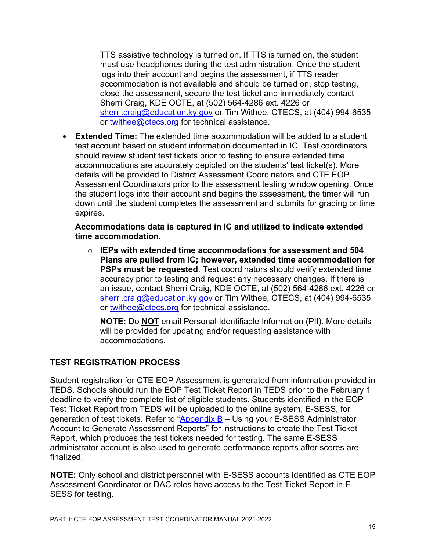TTS assistive technology is turned on. If TTS is turned on, the student must use headphones during the test administration. Once the student logs into their account and begins the assessment, if TTS reader accommodation is not available and should be turned on, stop testing, close the assessment, secure the test ticket and immediately contact Sherri Craig, KDE OCTE, at (502) 564-4286 ext. 4226 or [sherri.craig@education.ky.gov](mailto:sherri.craig@education.ky.gov) or Tim Withee, CTECS, at (404) 994-6535 or [twithee@ctecs.org](mailto:twithee@ctecs.org) for technical assistance.

• **Extended Time:** The extended time accommodation will be added to a student test account based on student information documented in IC. Test coordinators should review student test tickets prior to testing to ensure extended time accommodations are accurately depicted on the students' test ticket(s). More details will be provided to District Assessment Coordinators and CTE EOP Assessment Coordinators prior to the assessment testing window opening. Once the student logs into their account and begins the assessment, the timer will run down until the student completes the assessment and submits for grading or time expires.

**Accommodations data is captured in IC and utilized to indicate extended time accommodation.** 

o **IEPs with extended time accommodations for assessment and 504 Plans are pulled from IC; however, extended time accommodation for PSPs must be requested**. Test coordinators should verify extended time accuracy prior to testing and request any necessary changes. If there is an issue, contact Sherri Craig, KDE OCTE, at (502) 564-4286 ext. 4226 or [sherri.craig@education.ky.gov](mailto:sherri.craig@education.ky.gov) or Tim Withee, CTECS, at (404) 994-6535 or [twithee@ctecs.org](mailto:twithee@ctecs.org) for technical assistance.

**NOTE:** Do **NOT** email Personal Identifiable Information (PII). More details will be provided for updating and/or requesting assistance with accommodations.

# <span id="page-14-0"></span>**TEST REGISTRATION PROCESS**

Student registration for CTE EOP Assessment is generated from information provided in TEDS. Schools should run the EOP Test Ticket Report in TEDS prior to the February 1 deadline to verify the complete list of eligible students. Students identified in the EOP Test Ticket Report from TEDS will be uploaded to the online system, E-SESS, for generation of test tickets. Refer to ["Appendix B](#page-26-0) – Using your E-SESS Administrator Account to Generate Assessment Reports" for instructions to create the Test Ticket Report, which produces the test tickets needed for testing. The same E-SESS administrator account is also used to generate performance reports after scores are finalized.

**NOTE:** Only school and district personnel with E-SESS accounts identified as CTE EOP Assessment Coordinator or DAC roles have access to the Test Ticket Report in E-SESS for testing.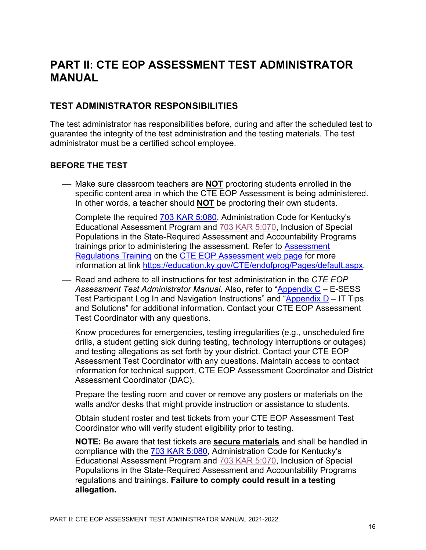# <span id="page-15-0"></span>**PART II: CTE EOP ASSESSMENT TEST ADMINISTRATOR MANUAL**

# <span id="page-15-1"></span>**TEST ADMINISTRATOR RESPONSIBILITIES**

The test administrator has responsibilities before, during and after the scheduled test to guarantee the integrity of the test administration and the testing materials. The test administrator must be a certified school employee.

# <span id="page-15-2"></span>**BEFORE THE TEST**

- Make sure classroom teachers are **NOT** proctoring students enrolled in the specific content area in which the CTE EOP Assessment is being administered. In other words, a teacher should **NOT** be proctoring their own students.
- Complete the required [703 KAR 5:080,](https://education.ky.gov/AA/distsupp/Documents/703%20KAR%205080%20Final.pdf) Administration Code for Kentucky's Educational Assessment Program and [703 KAR 5:070,](https://www.education.ky.gov/AA/distsupp/Documents/703_KAR_5070_DOC_INC_REF_OAA_April_2021.pdf) Inclusion of Special Populations in the State-Required Assessment and Accountability Programs trainings prior to administering the assessment. Refer to Assessment [Regulations Training](https://education.ky.gov/aa/distsupp/pages/admincode.aspx) on the [CTE EOP Assessment web page](https://education.ky.gov/CTE/endofprog/Pages/default.aspx) for more information at link [https://education.ky.gov/CTE/endofprog/Pages/default.aspx.](https://education.ky.gov/CTE/endofprog/Pages/default.aspx)
- Read and adhere to all instructions for test administration in the *CTE EOP Assessment Test Administrator Manual.* Also, refer to ["Appendix C](#page-31-0) – E-SESS Test Participant Log In and Navigation Instructions" and ["Appendix D](#page-35-0) – IT Tips and Solutions" for additional information. Contact your CTE EOP Assessment Test Coordinator with any questions.
- Know procedures for emergencies, testing irregularities (e.g., unscheduled fire drills, a student getting sick during testing, technology interruptions or outages) and testing allegations as set forth by your district. Contact your CTE EOP Assessment Test Coordinator with any questions. Maintain access to contact information for technical support, CTE EOP Assessment Coordinator and District Assessment Coordinator (DAC).
- Prepare the testing room and cover or remove any posters or materials on the walls and/or desks that might provide instruction or assistance to students.
- Obtain student roster and test tickets from your CTE EOP Assessment Test Coordinator who will verify student eligibility prior to testing.

**NOTE:** Be aware that test tickets are **secure materials** and shall be handled in compliance with the [703 KAR 5:080,](https://education.ky.gov/AA/distsupp/Documents/703%20KAR%205080%20Final.pdf) Administration Code for Kentucky's Educational Assessment Program and [703 KAR 5:070,](https://www.education.ky.gov/AA/distsupp/Documents/703_KAR_5070_DOC_INC_REF_OAA_April_2021.pdf) Inclusion of Special Populations in the State-Required Assessment and Accountability Programs regulations and trainings. **Failure to comply could result in a testing allegation.**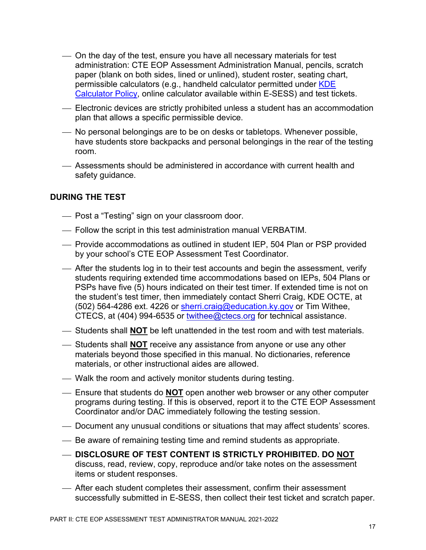- On the day of the test, ensure you have all necessary materials for test administration: CTE EOP Assessment Administration Manual, pencils, scratch paper (blank on both sides, lined or unlined), student roster, seating chart, permissible calculators (e.g., handheld calculator permitted under KDE [Calculator Policy,](https://education.ky.gov/AA/Assessments/Documents/Calculator%20Use%20Policy%20for%20State%20Testing.pdf) online calculator available within E-SESS) and test tickets.
- Electronic devices are strictly prohibited unless a student has an accommodation plan that allows a specific permissible device.
- No personal belongings are to be on desks or tabletops. Whenever possible, have students store backpacks and personal belongings in the rear of the testing room.
- Assessments should be administered in accordance with current health and safety guidance.

#### <span id="page-16-0"></span>**DURING THE TEST**

- Post a "Testing" sign on your classroom door.
- Follow the script in this test administration manual VERBATIM.
- Provide accommodations as outlined in student IEP, 504 Plan or PSP provided by your school's CTE EOP Assessment Test Coordinator.
- After the students log in to their test accounts and begin the assessment, verify students requiring extended time accommodations based on IEPs, 504 Plans or PSPs have five (5) hours indicated on their test timer. If extended time is not on the student's test timer, then immediately contact Sherri Craig, KDE OCTE, at (502) 564-4286 ext. 4226 or [sherri.craig@education.ky.gov](mailto:sherri.craig@education.ky.gov) or Tim Withee, CTECS, at (404) 994-6535 or [twithee@ctecs.org](mailto:twithee@ctecs.org) for technical assistance.
- Students shall **NOT** be left unattended in the test room and with test materials.
- Students shall **NOT** receive any assistance from anyone or use any other materials beyond those specified in this manual. No dictionaries, reference materials, or other instructional aides are allowed.
- Walk the room and actively monitor students during testing.
- Ensure that students do **NOT** open another web browser or any other computer programs during testing. If this is observed, report it to the CTE EOP Assessment Coordinator and/or DAC immediately following the testing session.
- Document any unusual conditions or situations that may affect students' scores.
- Be aware of remaining testing time and remind students as appropriate.
- **DISCLOSURE OF TEST CONTENT IS STRICTLY PROHIBITED. DO NOT** discuss, read, review, copy, reproduce and/or take notes on the assessment items or student responses.
- After each student completes their assessment, confirm their assessment successfully submitted in E-SESS, then collect their test ticket and scratch paper.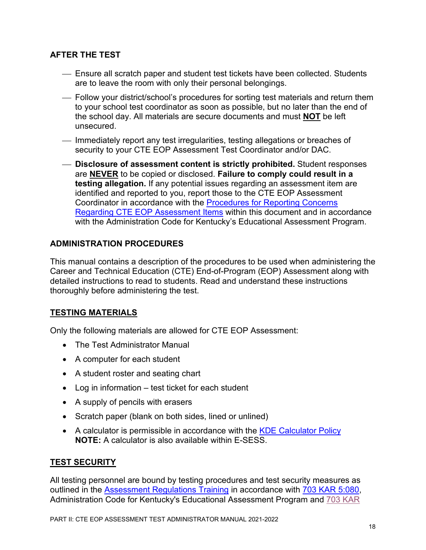# <span id="page-17-0"></span>**AFTER THE TEST**

- Ensure all scratch paper and student test tickets have been collected. Students are to leave the room with only their personal belongings.
- Follow your district/school's procedures for sorting test materials and return them to your school test coordinator as soon as possible, but no later than the end of the school day. All materials are secure documents and must **NOT** be left unsecured.
- Immediately report any test irregularities, testing allegations or breaches of security to your CTE EOP Assessment Test Coordinator and/or DAC.
- **Disclosure of assessment content is strictly prohibited.** Student responses are **NEVER** to be copied or disclosed. **Failure to comply could result in a testing allegation.** If any potential issues regarding an assessment item are identified and reported to you, report those to the CTE EOP Assessment Coordinator in accordance with the [Procedures for Reporting Concerns](#page-10-2)  [Regarding CTE EOP Assessment Items](#page-10-2) within this document and in accordance with the Administration Code for Kentucky's Educational Assessment Program.

#### <span id="page-17-1"></span>**ADMINISTRATION PROCEDURES**

This manual contains a description of the procedures to be used when administering the Career and Technical Education (CTE) End-of-Program (EOP) Assessment along with detailed instructions to read to students. Read and understand these instructions thoroughly before administering the test.

# **TESTING MATERIALS**

Only the following materials are allowed for CTE EOP Assessment:

- The Test Administrator Manual
- A computer for each student
- A student roster and seating chart
- Log in information test ticket for each student
- A supply of pencils with erasers
- Scratch paper (blank on both sides, lined or unlined)
- A calculator is permissible in accordance with the [KDE Calculator Policy](https://education.ky.gov/AA/Assessments/Documents/Calculator%20Use%20Policy%20for%20State%20Testing.pdf) **NOTE:** A calculator is also available within E-SESS.

#### **TEST SECURITY**

All testing personnel are bound by testing procedures and test security measures as outlined in the [Assessment Regulations Training](https://education.ky.gov/aa/distsupp/pages/admincode.aspx) in accordance with [703 KAR 5:080,](https://education.ky.gov/AA/distsupp/Documents/703%20KAR%205080%20Final.pdf) Administration Code for Kentucky's Educational Assessment Program and [703 KAR](https://www.education.ky.gov/AA/distsupp/Documents/703_KAR_5070_DOC_INC_REF_OAA_April_2021.pdf)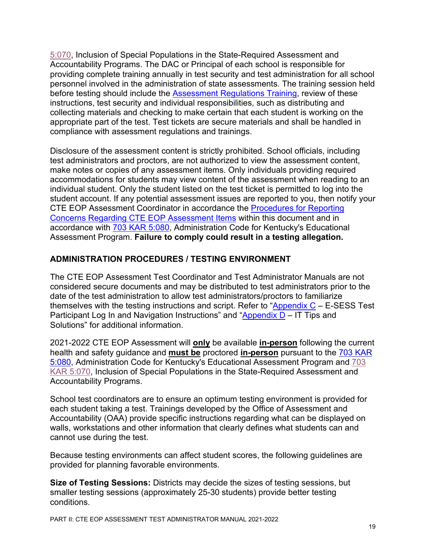[5:070,](https://www.education.ky.gov/AA/distsupp/Documents/703_KAR_5070_DOC_INC_REF_OAA_April_2021.pdf) Inclusion of Special Populations in the State-Required Assessment and Accountability Programs. The DAC or Principal of each school is responsible for providing complete training annually in test security and test administration for all school personnel involved in the administration of state assessments. The training session held before testing should include the [Assessment Regulations](https://education.ky.gov/aa/distsupp/pages/admincode.aspx) Training, review of these instructions, test security and individual responsibilities, such as distributing and collecting materials and checking to make certain that each student is working on the appropriate part of the test. Test tickets are secure materials and shall be handled in compliance with assessment regulations and trainings.

Disclosure of the assessment content is strictly prohibited. School officials, including test administrators and proctors, are not authorized to view the assessment content, make notes or copies of any assessment items. Only individuals providing required accommodations for students may view content of the assessment when reading to an individual student. Only the student listed on the test ticket is permitted to log into the student account. If any potential assessment issues are reported to you, then notify your CTE EOP Assessment Coordinator in accordance the [Procedures for Reporting](#page-10-2)  [Concerns Regarding CTE EOP Assessment Items](#page-10-2) within this document and in accordance with [703 KAR 5:080,](https://education.ky.gov/AA/distsupp/Documents/703%20KAR%205080%20Final.pdf) Administration Code for Kentucky's Educational Assessment Program. **Failure to comply could result in a testing allegation.**

# <span id="page-18-0"></span>**ADMINISTRATION PROCEDURES / TESTING ENVIRONMENT**

The CTE EOP Assessment Test Coordinator and Test Administrator Manuals are not considered secure documents and may be distributed to test administrators prior to the date of the test administration to allow test administrators/proctors to familiarize themselves with the testing instructions and script. Refer to "Appendix  $C - E$ -SESS Test Participant Log In and Navigation Instructions" and " $\Delta p$  and  $\Delta p$  – IT Tips and Solutions" for additional information.

2021-2022 CTE EOP Assessment will **only** be available **in-person** following the current health and safety guidance and **must be** proctored **in-person** pursuant to the [703 KAR](https://education.ky.gov/AA/distsupp/Documents/703%20KAR%205080%20Final.pdf)  [5:080,](https://education.ky.gov/AA/distsupp/Documents/703%20KAR%205080%20Final.pdf) Administration Code for Kentucky's Educational Assessment Program and [703](https://www.education.ky.gov/AA/distsupp/Documents/703_KAR_5070_DOC_INC_REF_OAA_April_2021.pdf)  [KAR 5:070,](https://www.education.ky.gov/AA/distsupp/Documents/703_KAR_5070_DOC_INC_REF_OAA_April_2021.pdf) Inclusion of Special Populations in the State-Required Assessment and Accountability Programs.

School test coordinators are to ensure an optimum testing environment is provided for each student taking a test. Trainings developed by the Office of Assessment and Accountability (OAA) provide specific instructions regarding what can be displayed on walls, workstations and other information that clearly defines what students can and cannot use during the test.

Because testing environments can affect student scores, the following guidelines are provided for planning favorable environments.

**Size of Testing Sessions:** Districts may decide the sizes of testing sessions, but smaller testing sessions (approximately 25-30 students) provide better testing conditions.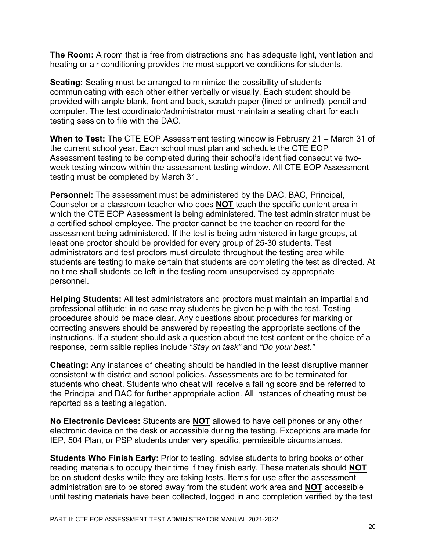**The Room:** A room that is free from distractions and has adequate light, ventilation and heating or air conditioning provides the most supportive conditions for students.

**Seating:** Seating must be arranged to minimize the possibility of students communicating with each other either verbally or visually. Each student should be provided with ample blank, front and back, scratch paper (lined or unlined), pencil and computer. The test coordinator/administrator must maintain a seating chart for each testing session to file with the DAC.

**When to Test:** The CTE EOP Assessment testing window is February 21 – March 31 of the current school year. Each school must plan and schedule the CTE EOP Assessment testing to be completed during their school's identified consecutive twoweek testing window within the assessment testing window. All CTE EOP Assessment testing must be completed by March 31.

**Personnel:** The assessment must be administered by the DAC, BAC, Principal, Counselor or a classroom teacher who does **NOT** teach the specific content area in which the CTE EOP Assessment is being administered. The test administrator must be a certified school employee. The proctor cannot be the teacher on record for the assessment being administered. If the test is being administered in large groups, at least one proctor should be provided for every group of 25-30 students. Test administrators and test proctors must circulate throughout the testing area while students are testing to make certain that students are completing the test as directed. At no time shall students be left in the testing room unsupervised by appropriate personnel.

**Helping Students:** All test administrators and proctors must maintain an impartial and professional attitude; in no case may students be given help with the test. Testing procedures should be made clear. Any questions about procedures for marking or correcting answers should be answered by repeating the appropriate sections of the instructions. If a student should ask a question about the test content or the choice of a response, permissible replies include *"Stay on task"* and *"Do your best."*

**Cheating:** Any instances of cheating should be handled in the least disruptive manner consistent with district and school policies. Assessments are to be terminated for students who cheat. Students who cheat will receive a failing score and be referred to the Principal and DAC for further appropriate action. All instances of cheating must be reported as a testing allegation.

**No Electronic Devices:** Students are **NOT** allowed to have cell phones or any other electronic device on the desk or accessible during the testing. Exceptions are made for IEP, 504 Plan, or PSP students under very specific, permissible circumstances.

**Students Who Finish Early:** Prior to testing, advise students to bring books or other reading materials to occupy their time if they finish early. These materials should **NOT** be on student desks while they are taking tests. Items for use after the assessment administration are to be stored away from the student work area and **NOT** accessible until testing materials have been collected, logged in and completion verified by the test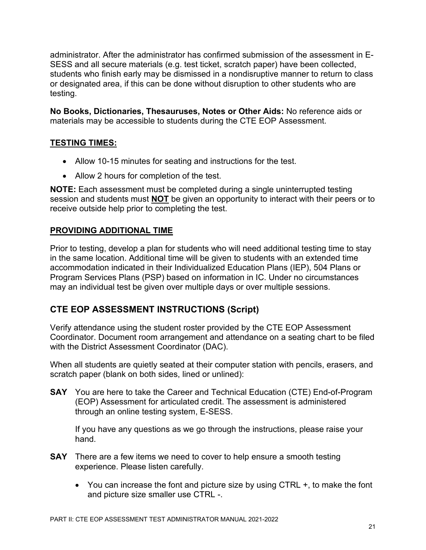administrator. After the administrator has confirmed submission of the assessment in E-SESS and all secure materials (e.g. test ticket, scratch paper) have been collected, students who finish early may be dismissed in a nondisruptive manner to return to class or designated area, if this can be done without disruption to other students who are testing.

**No Books, Dictionaries, Thesauruses, Notes or Other Aids:** No reference aids or materials may be accessible to students during the CTE EOP Assessment.

# **TESTING TIMES:**

- Allow 10-15 minutes for seating and instructions for the test.
- Allow 2 hours for completion of the test.

**NOTE:** Each assessment must be completed during a single uninterrupted testing session and students must **NOT** be given an opportunity to interact with their peers or to receive outside help prior to completing the test.

# **PROVIDING ADDITIONAL TIME**

Prior to testing, develop a plan for students who will need additional testing time to stay in the same location. Additional time will be given to students with an extended time accommodation indicated in their Individualized Education Plans (IEP), 504 Plans or Program Services Plans (PSP) based on information in IC. Under no circumstances may an individual test be given over multiple days or over multiple sessions.

# <span id="page-20-0"></span>**CTE EOP ASSESSMENT INSTRUCTIONS (Script)**

Verify attendance using the student roster provided by the CTE EOP Assessment Coordinator. Document room arrangement and attendance on a seating chart to be filed with the District Assessment Coordinator (DAC).

When all students are quietly seated at their computer station with pencils, erasers, and scratch paper (blank on both sides, lined or unlined):

**SAY** You are here to take the Career and Technical Education (CTE) End-of-Program (EOP) Assessment for articulated credit. The assessment is administered through an online testing system, E-SESS.

If you have any questions as we go through the instructions, please raise your hand.

- **SAY** There are a few items we need to cover to help ensure a smooth testing experience. Please listen carefully.
	- You can increase the font and picture size by using CTRL +, to make the font and picture size smaller use CTRL -.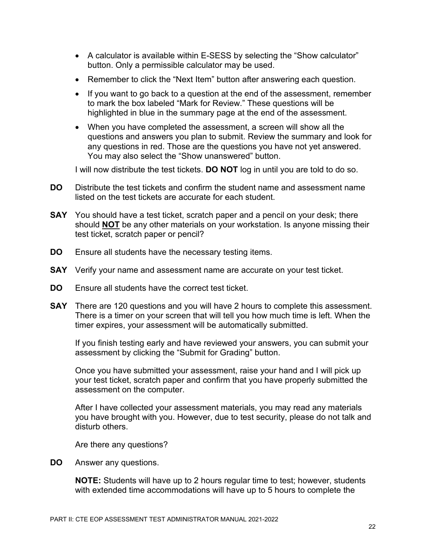- A calculator is available within E-SESS by selecting the "Show calculator" button. Only a permissible calculator may be used.
- Remember to click the "Next Item" button after answering each question.
- If you want to go back to a question at the end of the assessment, remember to mark the box labeled "Mark for Review." These questions will be highlighted in blue in the summary page at the end of the assessment.
- When you have completed the assessment, a screen will show all the questions and answers you plan to submit. Review the summary and look for any questions in red. Those are the questions you have not yet answered. You may also select the "Show unanswered" button.

I will now distribute the test tickets. **DO NOT** log in until you are told to do so.

- **DO** Distribute the test tickets and confirm the student name and assessment name listed on the test tickets are accurate for each student.
- **SAY** You should have a test ticket, scratch paper and a pencil on your desk; there should **NOT** be any other materials on your workstation. Is anyone missing their test ticket, scratch paper or pencil?
- **DO** Ensure all students have the necessary testing items.
- **SAY** Verify your name and assessment name are accurate on your test ticket.
- **DO** Ensure all students have the correct test ticket.
- **SAY** There are 120 questions and you will have 2 hours to complete this assessment. There is a timer on your screen that will tell you how much time is left. When the timer expires, your assessment will be automatically submitted.

If you finish testing early and have reviewed your answers, you can submit your assessment by clicking the "Submit for Grading" button.

Once you have submitted your assessment, raise your hand and I will pick up your test ticket, scratch paper and confirm that you have properly submitted the assessment on the computer.

After I have collected your assessment materials, you may read any materials you have brought with you. However, due to test security, please do not talk and disturb others.

Are there any questions?

**DO** Answer any questions.

**NOTE:** Students will have up to 2 hours regular time to test; however, students with extended time accommodations will have up to 5 hours to complete the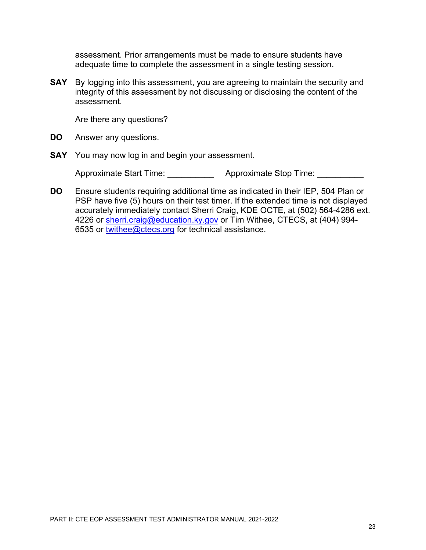assessment. Prior arrangements must be made to ensure students have adequate time to complete the assessment in a single testing session.

**SAY** By logging into this assessment, you are agreeing to maintain the security and integrity of this assessment by not discussing or disclosing the content of the assessment.

Are there any questions?

- **DO** Answer any questions.
- **SAY** You may now log in and begin your assessment.

Approximate Start Time: <br>
Approximate Stop Time:

**DO** Ensure students requiring additional time as indicated in their IEP, 504 Plan or PSP have five (5) hours on their test timer. If the extended time is not displayed accurately immediately contact Sherri Craig, KDE OCTE, at (502) 564-4286 ext. 4226 or [sherri.craig@education.ky.gov](mailto:sherri.craig@education.ky.gov) or Tim Withee, CTECS, at (404) 994-6535 or [twithee@ctecs.org](mailto:twithee@ctecs.org) for technical assistance.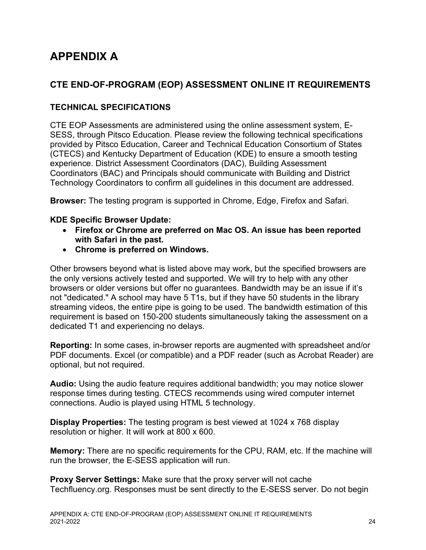# <span id="page-23-0"></span>**APPENDIX A**

# <span id="page-23-1"></span>**CTE END-OF-PROGRAM (EOP) ASSESSMENT ONLINE IT REQUIREMENTS**

# <span id="page-23-2"></span>**TECHNICAL SPECIFICATIONS**

CTE EOP Assessments are administered using the online assessment system, E-SESS, through Pitsco Education. Please review the following technical specifications provided by Pitsco Education, Career and Technical Education Consortium of States (CTECS) and Kentucky Department of Education (KDE) to ensure a smooth testing experience. District Assessment Coordinators (DAC), Building Assessment Coordinators (BAC) and Principals should communicate with Building and District Technology Coordinators to confirm all guidelines in this document are addressed.

**Browser:** The testing program is supported in Chrome, Edge, Firefox and Safari.

#### **KDE Specific Browser Update:**

- **Firefox or Chrome are preferred on Mac OS. An issue has been reported with Safari in the past.**
- **Chrome is preferred on Windows.**

Other browsers beyond what is listed above may work, but the specified browsers are the only versions actively tested and supported. We will try to help with any other browsers or older versions but offer no guarantees. Bandwidth may be an issue if it's not "dedicated." A school may have 5 T1s, but if they have 50 students in the library streaming videos, the entire pipe is going to be used. The bandwidth estimation of this requirement is based on 150-200 students simultaneously taking the assessment on a dedicated T1 and experiencing no delays.

**Reporting:** In some cases, in-browser reports are augmented with spreadsheet and/or PDF documents. Excel (or compatible) and a PDF reader (such as Acrobat Reader) are optional, but not required.

**Audio:** Using the audio feature requires additional bandwidth; you may notice slower response times during testing. CTECS recommends using wired computer internet connections. Audio is played using HTML 5 technology.

**Display Properties:** The testing program is best viewed at 1024 x 768 display resolution or higher. It will work at 800 x 600.

**Memory:** There are no specific requirements for the CPU, RAM, etc. If the machine will run the browser, the E-SESS application will run.

**Proxy Server Settings:** Make sure that the proxy server will not cache Techfluency.org. Responses must be sent directly to the E-SESS server. Do not begin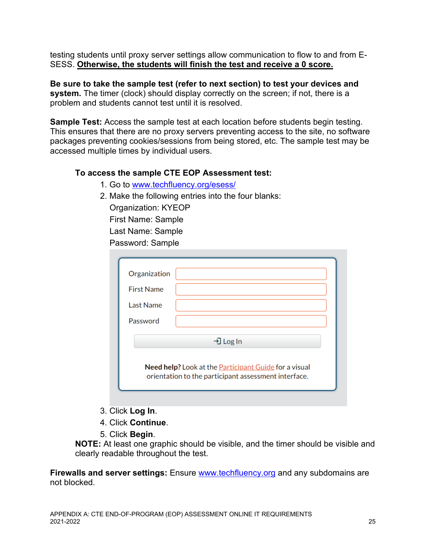testing students until proxy server settings allow communication to flow to and from E-SESS. **Otherwise, the students will finish the test and receive a 0 score.**

**Be sure to take the sample test (refer to next section) to test your devices and system.** The timer (clock) should display correctly on the screen; if not, there is a problem and students cannot test until it is resolved.

**Sample Test:** Access the sample test at each location before students begin testing. This ensures that there are no proxy servers preventing access to the site, no software packages preventing cookies/sessions from being stored, etc. The sample test may be accessed multiple times by individual users.

#### **To access the sample CTE EOP Assessment test:**

- 1. Go to [www.techfluency.org/esess/](http://www.techfluency.org/esess/)
- 2. Make the following entries into the four blanks:

Organization: KYEOP First Name: Sample Last Name: Sample Password: Sample

| Organization      |                                                                                                                      |
|-------------------|----------------------------------------------------------------------------------------------------------------------|
| <b>First Name</b> |                                                                                                                      |
| Last Name         |                                                                                                                      |
| Password          |                                                                                                                      |
|                   | →] Log In                                                                                                            |
|                   | Need help? Look at the <b>Participant Guide</b> for a visual<br>orientation to the participant assessment interface. |

- 3. Click **Log In**.
- 4. Click **Continue**.
- 5. Click **Begin**.

**NOTE:** At least one graphic should be visible, and the timer should be visible and clearly readable throughout the test.

**Firewalls and server settings:** Ensure **www.techfluency.org** and any subdomains are not blocked.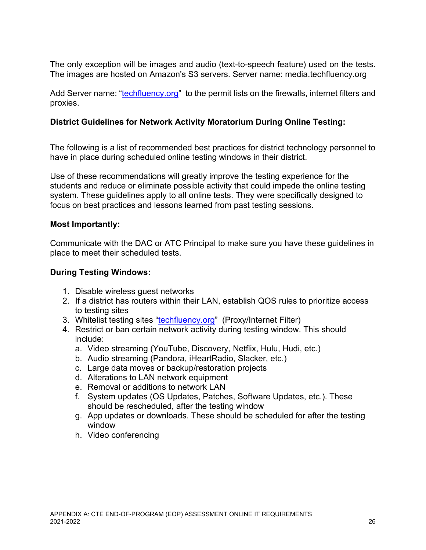The only exception will be images and audio (text-to-speech feature) used on the tests. The images are hosted on Amazon's S3 servers. Server name: media.techfluency.org

Add Server name: ["techfluency.org"](http://www.techfluency.org/) to the permit lists on the firewalls, internet filters and proxies.

# **District Guidelines for Network Activity Moratorium During Online Testing:**

The following is a list of recommended best practices for district technology personnel to have in place during scheduled online testing windows in their district.

Use of these recommendations will greatly improve the testing experience for the students and reduce or eliminate possible activity that could impede the online testing system. These guidelines apply to all online tests. They were specifically designed to focus on best practices and lessons learned from past testing sessions.

# **Most Importantly:**

Communicate with the DAC or ATC Principal to make sure you have these guidelines in place to meet their scheduled tests.

# **During Testing Windows:**

- 1. Disable wireless guest networks
- 2. If a district has routers within their LAN, establish QOS rules to prioritize access to testing sites
- 3. Whitelist testing sites ["techfluency.org"](http://www.techfluency.org/) (Proxy/Internet Filter)
- 4. Restrict or ban certain network activity during testing window. This should include:
	- a. Video streaming (YouTube, Discovery, Netflix, Hulu, Hudi, etc.)
	- b. Audio streaming (Pandora, iHeartRadio, Slacker, etc.)
	- c. Large data moves or backup/restoration projects
	- d. Alterations to LAN network equipment
	- e. Removal or additions to network LAN
	- f. System updates (OS Updates, Patches, Software Updates, etc.). These should be rescheduled, after the testing window
	- g. App updates or downloads. These should be scheduled for after the testing window
	- h. Video conferencing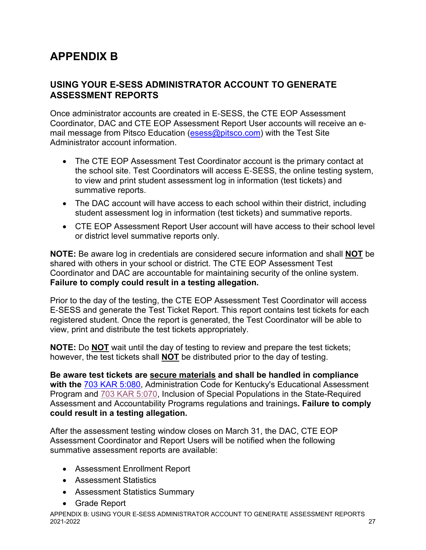# <span id="page-26-0"></span>**APPENDIX B**

# <span id="page-26-1"></span>**USING YOUR E-SESS ADMINISTRATOR ACCOUNT TO GENERATE ASSESSMENT REPORTS**

Once administrator accounts are created in E‐SESS, the CTE EOP Assessment Coordinator, DAC and CTE EOP Assessment Report User accounts will receive an e‐ mail message from Pitsco Education [\(esess@pitsco.com\)](mailto:esess@pitsco.com) with the Test Site Administrator account information.

- The CTE EOP Assessment Test Coordinator account is the primary contact at the school site. Test Coordinators will access E‐SESS, the online testing system, to view and print student assessment log in information (test tickets) and summative reports.
- The DAC account will have access to each school within their district, including student assessment log in information (test tickets) and summative reports.
- CTE EOP Assessment Report User account will have access to their school level or district level summative reports only.

**NOTE:** Be aware log in credentials are considered secure information and shall **NOT** be shared with others in your school or district. The CTE EOP Assessment Test Coordinator and DAC are accountable for maintaining security of the online system. **Failure to comply could result in a testing allegation.** 

Prior to the day of the testing, the CTE EOP Assessment Test Coordinator will access E‐SESS and generate the Test Ticket Report. This report contains test tickets for each registered student. Once the report is generated, the Test Coordinator will be able to view, print and distribute the test tickets appropriately.

**NOTE:** Do **NOT** wait until the day of testing to review and prepare the test tickets; however, the test tickets shall **NOT** be distributed prior to the day of testing.

**Be aware test tickets are secure materials and shall be handled in compliance with the** [703 KAR 5:080,](https://education.ky.gov/AA/distsupp/Documents/703%20KAR%205080%20Final.pdf) Administration Code for Kentucky's Educational Assessment Program and [703 KAR 5:070,](https://www.education.ky.gov/AA/distsupp/Documents/703_KAR_5070_DOC_INC_REF_OAA_April_2021.pdf) Inclusion of Special Populations in the State-Required Assessment and Accountability Programs regulations and trainings**. Failure to comply could result in a testing allegation.** 

After the assessment testing window closes on March 31, the DAC, CTE EOP Assessment Coordinator and Report Users will be notified when the following summative assessment reports are available:

- Assessment Enrollment Report
- Assessment Statistics
- Assessment Statistics Summary
- Grade Report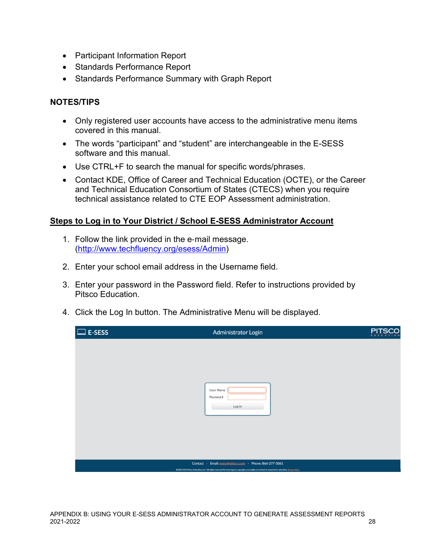- Participant Information Report
- Standards Performance Report
- Standards Performance Summary with Graph Report

#### <span id="page-27-0"></span>**NOTES/TIPS**

- Only registered user accounts have access to the administrative menu items covered in this manual.
- The words "participant" and "student" are interchangeable in the E-SESS software and this manual.
- Use CTRL+F to search the manual for specific words/phrases.
- Contact KDE, Office of Career and Technical Education (OCTE), or the Career and Technical Education Consortium of States (CTECS) when you require technical assistance related to CTE EOP Assessment administration.

#### **Steps to Log in to Your District / School E-SESS Administrator Account**

- 1. Follow the link provided in the e‐mail message. [\(http://www.techfluency.org/esess/Admin\)](http://www.techfluency.org/esess/Admin)
- 2. Enter your school email address in the Username field.
- 3. Enter your password in the Password field. Refer to instructions provided by Pitsco Education.
- 4. Click the Log In button. The Administrative Menu will be displayed.

| $\Box$ E-SESS | Administrator Login                                                                                                                                                                                            | <b>PITSCO</b> |
|---------------|----------------------------------------------------------------------------------------------------------------------------------------------------------------------------------------------------------------|---------------|
|               |                                                                                                                                                                                                                |               |
|               |                                                                                                                                                                                                                |               |
|               |                                                                                                                                                                                                                |               |
|               | User Name                                                                                                                                                                                                      |               |
|               | Password<br>Log In                                                                                                                                                                                             |               |
|               |                                                                                                                                                                                                                |               |
|               |                                                                                                                                                                                                                |               |
|               |                                                                                                                                                                                                                |               |
|               |                                                                                                                                                                                                                |               |
|               | Contact · Email: esess@pitsco.com · Phone: 866-277-5061<br>@2002-2021 Pitsco Education, LLC. All rights reserved. By honoring our copyright, you enable us to invest in research for education. Privacy Policy |               |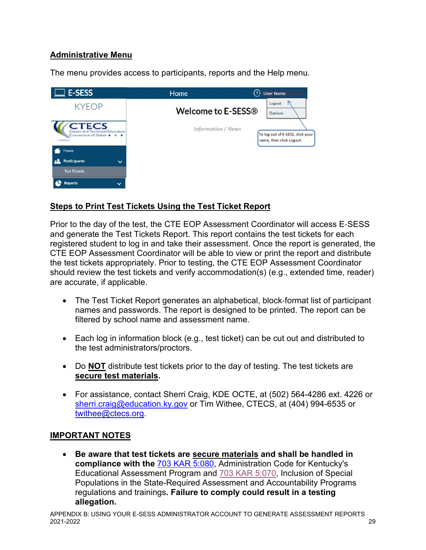# **Administrative Menu**

The menu provides access to participants, reports and the Help menu.



# **Steps to Print Test Tickets Using the Test Ticket Report**

Prior to the day of the test, the CTE EOP Assessment Coordinator will access E‐SESS and generate the Test Tickets Report. This report contains the test tickets for each registered student to log in and take their assessment. Once the report is generated, the CTE EOP Assessment Coordinator will be able to view or print the report and distribute the test tickets appropriately. Prior to testing, the CTE EOP Assessment Coordinator should review the test tickets and verify accommodation(s) (e.g., extended time, reader) are accurate, if applicable.

- The Test Ticket Report generates an alphabetical, block‐format list of participant names and passwords. The report is designed to be printed. The report can be filtered by school name and assessment name.
- Each log in information block (e.g., test ticket) can be cut out and distributed to the test administrators/proctors.
- Do **NOT** distribute test tickets prior to the day of testing. The test tickets are **secure test materials.**
- For assistance, contact Sherri Craig, KDE OCTE, at (502) 564-4286 ext. 4226 or [sherri.craig@education.ky.gov](mailto:sherri.craig@education.ky.gov) or Tim Withee, CTECS, at (404) 994-6535 or [twithee@ctecs.org.](mailto:twithee@ctecs.org)

# **IMPORTANT NOTES**

• **Be aware that test tickets are secure materials and shall be handled in compliance with the** [703 KAR 5:080,](https://education.ky.gov/AA/distsupp/Documents/703%20KAR%205080%20Final.pdf) Administration Code for Kentucky's Educational Assessment Program and [703 KAR 5:070,](https://www.education.ky.gov/AA/distsupp/Documents/703_KAR_5070_DOC_INC_REF_OAA_April_2021.pdf) Inclusion of Special Populations in the State-Required Assessment and Accountability Programs regulations and trainings**. Failure to comply could result in a testing allegation.**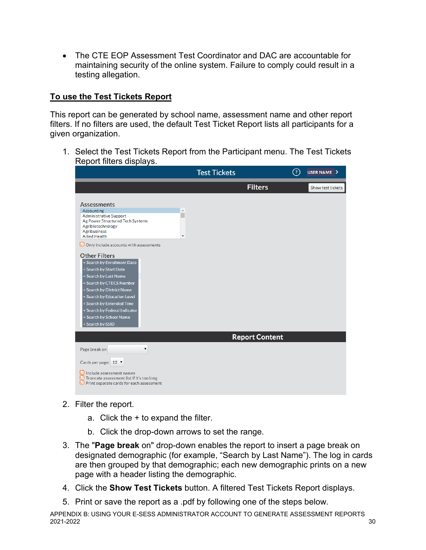• The CTE EOP Assessment Test Coordinator and DAC are accountable for maintaining security of the online system. Failure to comply could result in a testing allegation.

# **To use the Test Tickets Report**

This report can be generated by school name, assessment name and other report filters. If no filters are used, the default Test Ticket Report lists all participants for a given organization.

1. Select the Test Tickets Report from the Participant menu. The Test Tickets Report filters displays.

|                                                                                                                                                                                                                                                                                                                                                                                                                                                                                                                                         | <b>Test Tickets</b>   | $\left( 3\right)$ | USER NAME >       |
|-----------------------------------------------------------------------------------------------------------------------------------------------------------------------------------------------------------------------------------------------------------------------------------------------------------------------------------------------------------------------------------------------------------------------------------------------------------------------------------------------------------------------------------------|-----------------------|-------------------|-------------------|
|                                                                                                                                                                                                                                                                                                                                                                                                                                                                                                                                         | <b>Filters</b>        |                   | Show test tickets |
| <b>Assessments</b><br>Accounting<br><b>Administrative Support</b><br>Ag Power Structured Tech Systems<br>Agribiotechnology<br>Agribusiness<br><b>Allied Health</b><br>▼<br>$\Box$ Only include accounts with assessments<br><b>Other Filters</b><br>+ Search by Enrollment Date<br>+ Search by Start Date<br>+ Search by Last Name<br>+ Search by CTECS Number<br>+ Search by District Name<br>+ Search by Education Level<br>+ Search by Extended Time<br>+ Search by Federal Indicator<br>+ Search by School Name<br>+ Search by SSID |                       |                   |                   |
|                                                                                                                                                                                                                                                                                                                                                                                                                                                                                                                                         | <b>Report Content</b> |                   |                   |
| Page break on<br>$\pmb{\mathrm{v}}$<br>Cards per page: 12 ▼<br>$\Box$ Include assessment names<br>■ Truncate assessment list if it's too long<br>$\bigcirc$ Print separate cards for each assessment                                                                                                                                                                                                                                                                                                                                    |                       |                   |                   |

- 2. Filter the report.
	- a. Click the + to expand the filter.
	- b. Click the drop-down arrows to set the range.
- 3. The "**Page break** on" drop-down enables the report to insert a page break on designated demographic (for example, "Search by Last Name"). The log in cards are then grouped by that demographic; each new demographic prints on a new page with a header listing the demographic.
- 4. Click the **Show Test Tickets** button. A filtered Test Tickets Report displays.
- 5. Print or save the report as a .pdf by following one of the steps below.

APPENDIX B: USING YOUR E-SESS ADMINISTRATOR ACCOUNT TO GENERATE ASSESSMENT REPORTS<br>2021-2022 2021-2022 30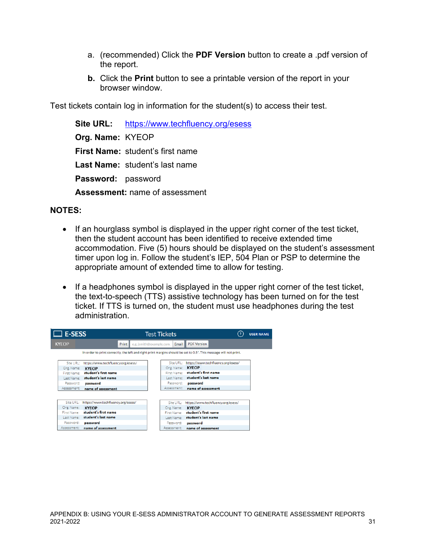- a. (recommended) Click the **PDF Version** button to create a .pdf version of the report.
- **b.** Click the **Print** button to see a printable version of the report in your browser window.

Test tickets contain log in information for the student(s) to access their test.

**Site URL:** <https://www.techfluency.org/esess> **Org. Name:** KYEOP **First Name:** student's first name **Last Name:** student's last name **Password:** password **Assessment:** name of assessment

#### **NOTES:**

- If an hourglass symbol is displayed in the upper right corner of the test ticket, then the student account has been identified to receive extended time accommodation. Five (5) hours should be displayed on the student's assessment timer upon log in. Follow the student's IEP, 504 Plan or PSP to determine the appropriate amount of extended time to allow for testing.
- If a headphones symbol is displayed in the upper right corner of the test ticket, the text-to-speech (TTS) assistive technology has been turned on for the test ticket. If TTS is turned on, the student must use headphones during the test administration.

| $\Box$ E-SESS |                                                                                                                   | <b>Test Tickets</b>               | (?)                                | <b>USER NAME</b> |
|---------------|-------------------------------------------------------------------------------------------------------------------|-----------------------------------|------------------------------------|------------------|
| <b>KYEOP</b>  | Print                                                                                                             | e.g. jsmith@example.com.<br>Email | <b>PDF Version</b>                 |                  |
|               | In order to print correctly, the left and right print margins should be set to 0.5". This message will not print, |                                   |                                    |                  |
| Site URL:     | https://www.techfluency.org/esess/                                                                                | Site URL:                         | https://www.techfluency.org/esess/ |                  |
| Org. Name:    | <b>KYEOP</b>                                                                                                      | Org. Name:                        | <b>KYEOP</b>                       |                  |
|               | First Name: student's first name                                                                                  |                                   | First Name: student's first name   |                  |
|               | Last Name: student's last name                                                                                    |                                   | Last Name: student's last name     |                  |
| Password:     | password                                                                                                          | Password:                         | password                           |                  |
| Assessment:   | name of assessment                                                                                                | Assessment:                       | name of assessment                 |                  |
|               |                                                                                                                   |                                   |                                    |                  |
| Site URL:     | https://www.techfluency.org/esess/                                                                                | Site URL:                         | https://www.techfluency.org/esess/ |                  |
| Org. Name:    | <b>KYEOP</b><br>student's first name                                                                              | Org. Name:                        | <b>KYEOP</b>                       |                  |
| First Name:   |                                                                                                                   | First Name:                       | student's first name               |                  |
|               | Last Name: student's last name                                                                                    |                                   | Last Name: student's last name     |                  |
| Password:     | password                                                                                                          | Password:                         | password                           |                  |
| Assessment:   | name of assessment                                                                                                | Assessment:                       | name of assessment                 |                  |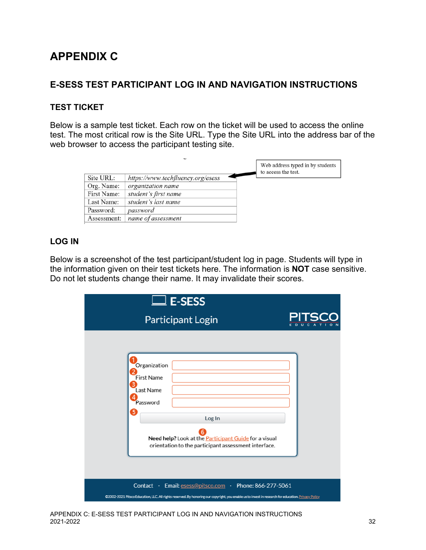# <span id="page-31-0"></span>**APPENDIX C**

# <span id="page-31-1"></span>**E-SESS TEST PARTICIPANT LOG IN AND NAVIGATION INSTRUCTIONS**

# <span id="page-31-2"></span>**TEST TICKET**

Below is a sample test ticket. Each row on the ticket will be used to access the online test. The most critical row is the Site URL. Type the Site URL into the address bar of the web browser to access the participant testing site.

|             |                                   | Web address typed in by students<br>to access the test. |
|-------------|-----------------------------------|---------------------------------------------------------|
| Site URL:   | https://www.techfluency.org/esess |                                                         |
| Org. Name:  | organization name                 |                                                         |
| First Name: | student's first name              |                                                         |
| Last Name:  | student's last name               |                                                         |
| Password:   | password                          |                                                         |
| Assessment: | name of assessment                |                                                         |

# <span id="page-31-3"></span>**LOG IN**

Below is a screenshot of the test participant/student log in page. Students will type in the information given on their test tickets here. The information is **NOT** case sensitive. Do not let students change their name. It may invalidate their scores.

| $\square$ E-SESS                                                                                                                                                                                               |  |
|----------------------------------------------------------------------------------------------------------------------------------------------------------------------------------------------------------------|--|
| <b>Participant Login</b>                                                                                                                                                                                       |  |
| Organization<br><b>First Name</b><br>Last Name<br>Password<br>5<br>Log In<br>Need help? Look at the Participant Guide for a visual<br>orientation to the participant assessment interface.                     |  |
| Contact · Email: esess@pitsco.com · Phone: 866-277-5061<br>@2002-2021 Pitsco Education, LLC. All rights reserved. By honoring our copyright, you enable us to invest in research for education. Privacy Policy |  |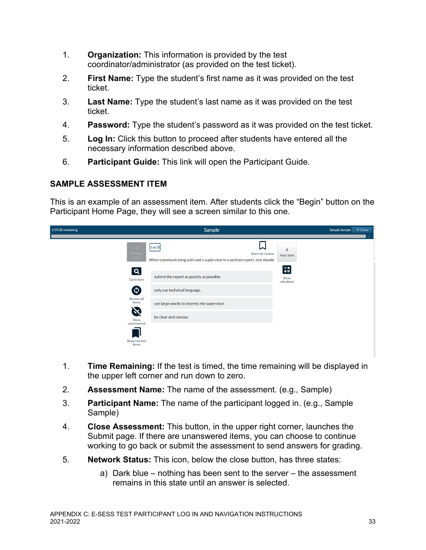- 1. **Organization:** This information is provided by the test coordinator/administrator (as provided on the test ticket).
- 2. **First Name:** Type the student's first name as it was provided on the test ticket.
- 3. **Last Name:** Type the student's last name as it was provided on the test ticket.
- 4. **Password:** Type the student's password as it was provided on the test ticket.
- 5. **Log In:** Click this button to proceed after students have entered all the necessary information described above.
- 6. **Participant Guide:** This link will open the Participant Guide.

# <span id="page-32-0"></span>**SAMPLE ASSESSMENT ITEM**

This is an example of an assessment item. After students click the "Begin" button on the Participant Home Page, they will see a screen similar to this one.

| 1:59:38 remaining                                              | Sample                                                                                                           |                         |  | X Close |  |
|----------------------------------------------------------------|------------------------------------------------------------------------------------------------------------------|-------------------------|--|---------|--|
| Previous<br>Item                                               | 1/25<br>$1$ of 25<br>Mark for review<br>When communicating with one's supervisor in a written report, one should | ᠈<br>Next Item          |  |         |  |
| $\overline{\mathsf{Q}}$<br>Go to item<br>$\boldsymbol{\omega}$ | submit the report as quickly as possible.<br>only use technical language.                                        | 语<br>Show<br>calculator |  |         |  |
| Review all<br>items<br>$\propto$<br>Show                       | use large words to impress the supervisor.<br>be clear and concise.                                              |                         |  |         |  |
| unanswered<br>Show marked<br>items                             |                                                                                                                  |                         |  |         |  |

- 1. **Time Remaining:** If the test is timed, the time remaining will be displayed in the upper left corner and run down to zero.
- 2. **Assessment Name:** The name of the assessment. (e.g., Sample)
- 3. **Participant Name:** The name of the participant logged in. (e.g., Sample Sample)
- 4. **Close Assessment:** This button, in the upper right corner, launches the Submit page. If there are unanswered items, you can choose to continue working to go back or submit the assessment to send answers for grading.
- 5. **Network Status:** This icon, below the close button, has three states:
	- a) Dark blue nothing has been sent to the server the assessment remains in this state until an answer is selected.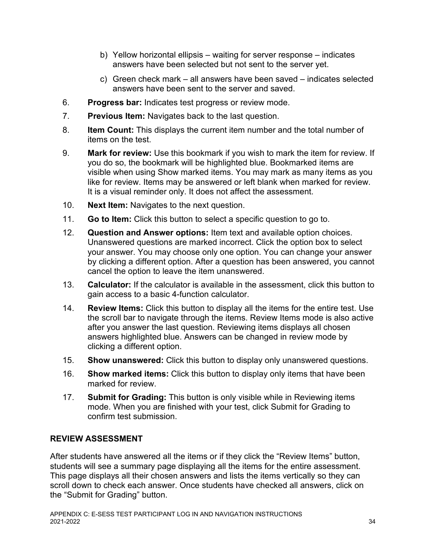- b) Yellow horizontal ellipsis waiting for server response indicates answers have been selected but not sent to the server yet.
- c) Green check mark all answers have been saved indicates selected answers have been sent to the server and saved.
- 6. **Progress bar:** Indicates test progress or review mode.
- 7. **Previous Item:** Navigates back to the last question.
- 8. **Item Count:** This displays the current item number and the total number of items on the test.
- 9. **Mark for review:** Use this bookmark if you wish to mark the item for review. If you do so, the bookmark will be highlighted blue. Bookmarked items are visible when using Show marked items. You may mark as many items as you like for review. Items may be answered or left blank when marked for review. It is a visual reminder only. It does not affect the assessment.
- 10. **Next Item:** Navigates to the next question.
- 11. **Go to Item:** Click this button to select a specific question to go to.
- 12. **Question and Answer options:** Item text and available option choices. Unanswered questions are marked incorrect. Click the option box to select your answer. You may choose only one option. You can change your answer by clicking a different option. After a question has been answered, you cannot cancel the option to leave the item unanswered.
- 13. **Calculator:** If the calculator is available in the assessment, click this button to gain access to a basic 4-function calculator.
- 14. **Review Items:** Click this button to display all the items for the entire test. Use the scroll bar to navigate through the items. Review Items mode is also active after you answer the last question. Reviewing items displays all chosen answers highlighted blue. Answers can be changed in review mode by clicking a different option.
- 15. **Show unanswered:** Click this button to display only unanswered questions.
- 16. **Show marked items:** Click this button to display only items that have been marked for review.
- 17. **Submit for Grading:** This button is only visible while in Reviewing items mode. When you are finished with your test, click Submit for Grading to confirm test submission.

# <span id="page-33-0"></span>**REVIEW ASSESSMENT**

After students have answered all the items or if they click the "Review Items" button, students will see a summary page displaying all the items for the entire assessment. This page displays all their chosen answers and lists the items vertically so they can scroll down to check each answer. Once students have checked all answers, click on the "Submit for Grading" button.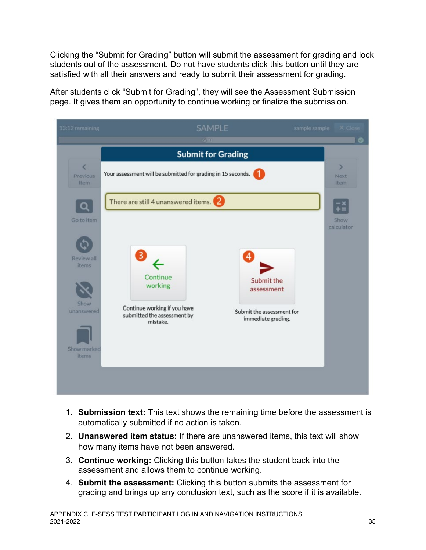Clicking the "Submit for Grading" button will submit the assessment for grading and lock students out of the assessment. Do not have students click this button until they are satisfied with all their answers and ready to submit their assessment for grading.

After students click "Submit for Grading", they will see the Assessment Submission page. It gives them an opportunity to continue working or finalize the submission.



- 1. **Submission text:** This text shows the remaining time before the assessment is automatically submitted if no action is taken.
- 2. **Unanswered item status:** If there are unanswered items, this text will show how many items have not been answered.
- 3. **Continue working:** Clicking this button takes the student back into the assessment and allows them to continue working.
- 4. **Submit the assessment:** Clicking this button submits the assessment for grading and brings up any conclusion text, such as the score if it is available.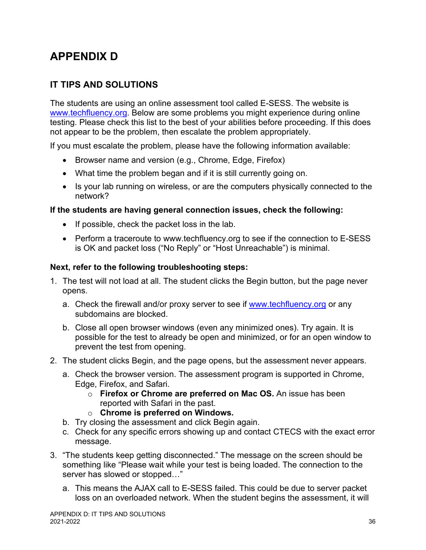# <span id="page-35-0"></span>**APPENDIX D**

# <span id="page-35-1"></span>**IT TIPS AND SOLUTIONS**

The students are using an online assessment tool called E-SESS. The website is [www.techfluency.org.](http://www.techfluency.org/) Below are some problems you might experience during online testing. Please check this list to the best of your abilities before proceeding. If this does not appear to be the problem, then escalate the problem appropriately.

If you must escalate the problem, please have the following information available:

- Browser name and version (e.g., Chrome, Edge, Firefox)
- What time the problem began and if it is still currently going on.
- Is your lab running on wireless, or are the computers physically connected to the network?

#### **If the students are having general connection issues, check the following:**

- If possible, check the packet loss in the lab.
- Perform a traceroute to www.techfluency.org to see if the connection to E-SESS is OK and packet loss ("No Reply" or "Host Unreachable") is minimal.

#### **Next, refer to the following troubleshooting steps:**

- 1. The test will not load at all. The student clicks the Begin button, but the page never opens.
	- a. Check the firewall and/or proxy server to see if [www.techfluency.org](http://www.techfluency.org/) or any subdomains are blocked.
	- b. Close all open browser windows (even any minimized ones). Try again. It is possible for the test to already be open and minimized, or for an open window to prevent the test from opening.
- 2. The student clicks Begin, and the page opens, but the assessment never appears.
	- a. Check the browser version. The assessment program is supported in Chrome, Edge, Firefox, and Safari.
		- o **Firefox or Chrome are preferred on Mac OS.** An issue has been reported with Safari in the past.
		- o **Chrome is preferred on Windows.**
	- b. Try closing the assessment and click Begin again.
	- c. Check for any specific errors showing up and contact CTECS with the exact error message.
- 3. "The students keep getting disconnected." The message on the screen should be something like "Please wait while your test is being loaded. The connection to the server has slowed or stopped…"
	- a. This means the AJAX call to E-SESS failed. This could be due to server packet loss on an overloaded network. When the student begins the assessment, it will